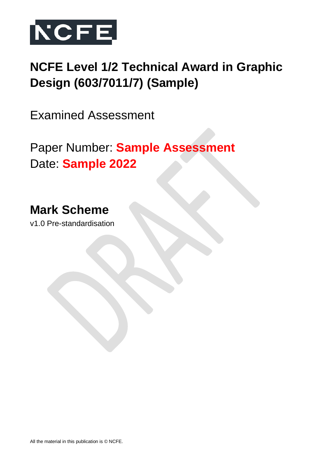

# **NCFE Level 1/2 Technical Award in Graphic Design (603/7011/7) (Sample)**

Examined Assessment

Paper Number: **Sample Assessment** Date: **Sample 2022**

**Mark Scheme**

v1.0 Pre-standardisation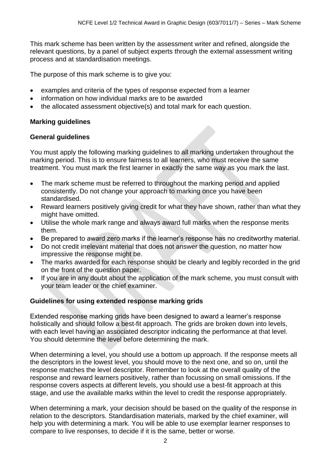This mark scheme has been written by the assessment writer and refined, alongside the relevant questions, by a panel of subject experts through the external assessment writing process and at standardisation meetings.

The purpose of this mark scheme is to give you:

- examples and criteria of the types of response expected from a learner
- information on how individual marks are to be awarded
- the allocated assessment objective(s) and total mark for each question.

### **Marking guidelines**

#### **General guidelines**

You must apply the following marking guidelines to all marking undertaken throughout the marking period. This is to ensure fairness to all learners, who must receive the same treatment. You must mark the first learner in exactly the same way as you mark the last.

- The mark scheme must be referred to throughout the marking period and applied consistently. Do not change your approach to marking once you have been standardised.
- Reward learners positively giving credit for what they have shown, rather than what they might have omitted.
- Utilise the whole mark range and always award full marks when the response merits them.
- Be prepared to award zero marks if the learner's response has no creditworthy material.
- Do not credit irrelevant material that does not answer the question, no matter how impressive the response might be.
- The marks awarded for each response should be clearly and legibly recorded in the grid on the front of the question paper.
- If you are in any doubt about the application of the mark scheme, you must consult with your team leader or the chief examiner.

### **Guidelines for using extended response marking grids**

Extended response marking grids have been designed to award a learner's response holistically and should follow a best-fit approach. The grids are broken down into levels, with each level having an associated descriptor indicating the performance at that level. You should determine the level before determining the mark.

When determining a level, you should use a bottom up approach. If the response meets all the descriptors in the lowest level, you should move to the next one, and so on, until the response matches the level descriptor. Remember to look at the overall quality of the response and reward learners positively, rather than focussing on small omissions. If the response covers aspects at different levels, you should use a best-fit approach at this stage, and use the available marks within the level to credit the response appropriately.

When determining a mark, your decision should be based on the quality of the response in relation to the descriptors. Standardisation materials, marked by the chief examiner, will help you with determining a mark. You will be able to use exemplar learner responses to compare to live responses, to decide if it is the same, better or worse.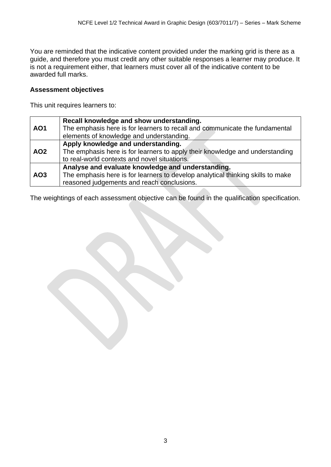You are reminded that the indicative content provided under the marking grid is there as a guide, and therefore you must credit any other suitable responses a learner may produce. It is not a requirement either, that learners must cover all of the indicative content to be awarded full marks.

#### **Assessment objectives**

This unit requires learners to:

| AO <sub>1</sub> | Recall knowledge and show understanding.<br>The emphasis here is for learners to recall and communicate the fundamental<br>elements of knowledge and understanding.                |
|-----------------|------------------------------------------------------------------------------------------------------------------------------------------------------------------------------------|
| <b>AO2</b>      | Apply knowledge and understanding.<br>The emphasis here is for learners to apply their knowledge and understanding<br>to real-world contexts and novel situations.                 |
| AO <sub>3</sub> | Analyse and evaluate knowledge and understanding.<br>The emphasis here is for learners to develop analytical thinking skills to make<br>reasoned judgements and reach conclusions. |

The weightings of each assessment objective can be found in the qualification specification.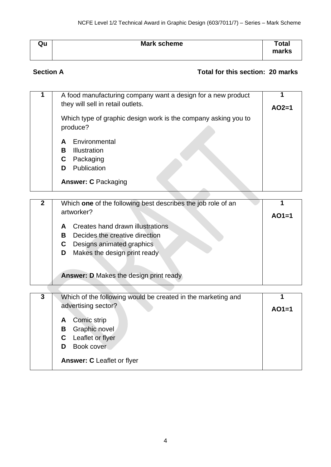| Qu | Mark scheme | <b>Total</b><br>marks |
|----|-------------|-----------------------|
|    |             |                       |

# **Section A Total for this section: 20 marks**

| 1              | A food manufacturing company want a design for a new product   | 1       |
|----------------|----------------------------------------------------------------|---------|
|                | they will sell in retail outlets.                              | $AO2=1$ |
|                | Which type of graphic design work is the company asking you to |         |
|                | produce?                                                       |         |
|                | Environmental<br>A                                             |         |
|                | <b>Illustration</b><br>B                                       |         |
|                | Packaging<br>C                                                 |         |
|                | Publication<br>D                                               |         |
|                | <b>Answer: C Packaging</b>                                     |         |
|                |                                                                |         |
| $\mathbf{2}$   | Which one of the following best describes the job role of an   | 1       |
|                | artworker?                                                     | $AO1=1$ |
|                | Creates hand drawn illustrations<br>A                          |         |
|                | Decides the creative direction<br>B                            |         |
|                | Designs animated graphics<br>C.                                |         |
|                | Makes the design print ready<br>D                              |         |
|                |                                                                |         |
|                | <b>Answer: D Makes the design print ready</b>                  |         |
|                |                                                                |         |
| $\overline{3}$ | Which of the following would be created in the marketing and   | 1       |
|                | advertising sector?                                            |         |
|                |                                                                | $AO1=1$ |
|                | Comic strip<br>A                                               |         |
|                | Graphic novel<br>B                                             |         |
|                | Leaflet or flyer<br>C                                          |         |
|                | Book cover<br>D                                                |         |

**Answer: C** Leaflet or flyer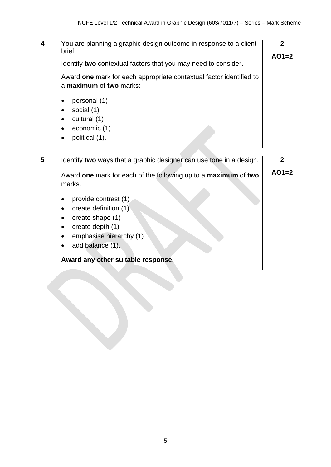| You are planning a graphic design outcome in response to a client<br>4<br>brief.<br>Identify two contextual factors that you may need to consider.<br>Award one mark for each appropriate contextual factor identified to<br>a maximum of two marks:<br>personal (1)<br>social (1)<br>cultural (1)<br>economic (1)<br>political (1). | 2<br>$AO1=2$ |
|--------------------------------------------------------------------------------------------------------------------------------------------------------------------------------------------------------------------------------------------------------------------------------------------------------------------------------------|--------------|
|--------------------------------------------------------------------------------------------------------------------------------------------------------------------------------------------------------------------------------------------------------------------------------------------------------------------------------------|--------------|

| 5 | Identify two ways that a graphic designer can use tone in a design.              |         |
|---|----------------------------------------------------------------------------------|---------|
|   | Award one mark for each of the following up to a maximum of two<br>marks.        | $AO1=2$ |
|   | provide contrast (1)<br>create definition (1)<br>$\bullet$<br>create shape $(1)$ |         |
|   | create depth (1)<br>$\bullet$<br>emphasise hierarchy (1)<br>$\bullet$            |         |
|   | add balance (1).<br>Award any other suitable response.                           |         |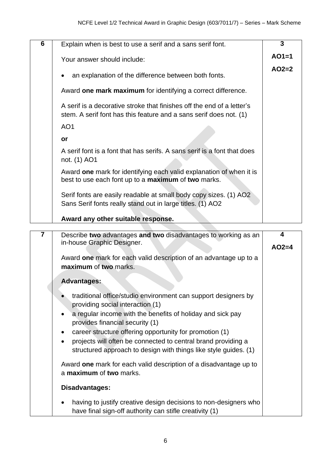| 6 | Explain when is best to use a serif and a sans serif font.                                                                                                                                                             | 3            |
|---|------------------------------------------------------------------------------------------------------------------------------------------------------------------------------------------------------------------------|--------------|
|   | Your answer should include:                                                                                                                                                                                            | $AO1=1$      |
|   | an explanation of the difference between both fonts.                                                                                                                                                                   | $AO2=2$      |
|   | Award one mark maximum for identifying a correct difference.                                                                                                                                                           |              |
|   | A serif is a decorative stroke that finishes off the end of a letter's<br>stem. A serif font has this feature and a sans serif does not. (1)                                                                           |              |
|   | AO <sub>1</sub>                                                                                                                                                                                                        |              |
|   | or                                                                                                                                                                                                                     |              |
|   | A serif font is a font that has serifs. A sans serif is a font that does<br>not. (1) AO1                                                                                                                               |              |
|   | Award one mark for identifying each valid explanation of when it is<br>best to use each font up to a maximum of two marks.                                                                                             |              |
|   | Serif fonts are easily readable at small body copy sizes. (1) AO2<br>Sans Serif fonts really stand out in large titles. (1) AO2                                                                                        |              |
|   |                                                                                                                                                                                                                        |              |
|   | Award any other suitable response.                                                                                                                                                                                     |              |
|   |                                                                                                                                                                                                                        |              |
| 7 | Describe two advantages and two disadvantages to working as an<br>in-house Graphic Designer.                                                                                                                           | 4<br>$AO2=4$ |
|   | Award one mark for each valid description of an advantage up to a<br>maximum of two marks.                                                                                                                             |              |
|   | <b>Advantages:</b>                                                                                                                                                                                                     |              |
|   | traditional office/studio environment can support designers by<br>providing social interaction (1)                                                                                                                     |              |
|   | a regular income with the benefits of holiday and sick pay<br>provides financial security (1)                                                                                                                          |              |
|   | career structure offering opportunity for promotion (1)<br>$\bullet$<br>projects will often be connected to central brand providing a<br>$\bullet$<br>structured approach to design with things like style guides. (1) |              |
|   | Award one mark for each valid description of a disadvantage up to<br>a maximum of two marks.                                                                                                                           |              |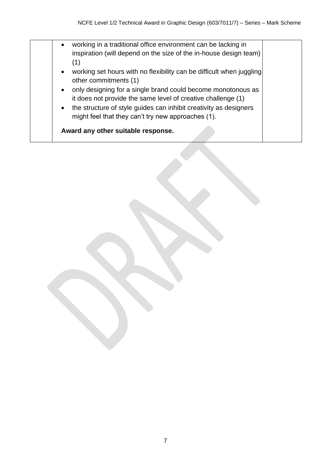- working in a traditional office environment can be lacking in inspiration (will depend on the size of the in-house design team) (1) • working set hours with no flexibility can be difficult when juggling other commitments (1) • only designing for a single brand could become monotonous as it does not provide the same level of creative challenge (1)
	- the structure of style guides can inhibit creativity as designers might feel that they can't try new approaches (1).

**Award any other suitable response.**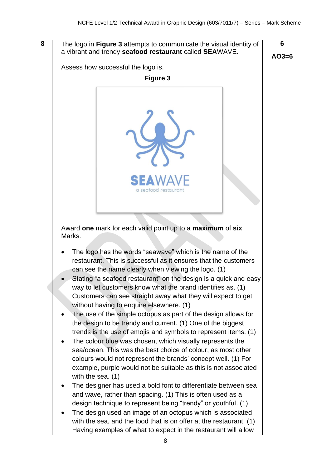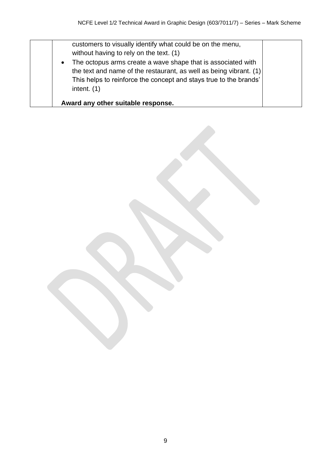|           | customers to visually identify what could be on the menu,<br>without having to rely on the text. (1) |
|-----------|------------------------------------------------------------------------------------------------------|
| $\bullet$ | The octopus arms create a wave shape that is associated with                                         |
|           | the text and name of the restaurant, as well as being vibrant. (1)                                   |
|           | This helps to reinforce the concept and stays true to the brands'<br>intent. $(1)$                   |
|           | Award any other suitable response.                                                                   |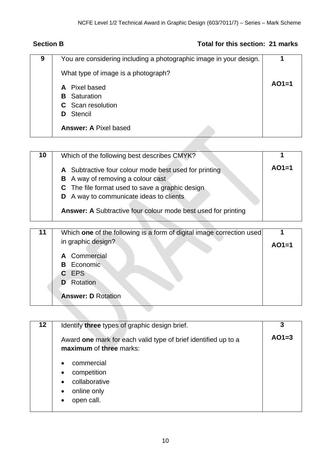# **Section B Total for this section: 21 marks**

| 9 | You are considering including a photographic image in your design. |         |
|---|--------------------------------------------------------------------|---------|
|   | What type of image is a photograph?                                |         |
|   | A Pixel based                                                      | $AO1=1$ |
|   | <b>B</b> Saturation                                                |         |
|   | <b>C</b> Scan resolution                                           |         |
|   | Stencil<br>D.                                                      |         |
|   | <b>Answer: A Pixel based</b>                                       |         |

| 10 | Which of the following best describes CMYK?                                                                                                                                                                                                                                |         |
|----|----------------------------------------------------------------------------------------------------------------------------------------------------------------------------------------------------------------------------------------------------------------------------|---------|
|    | A Subtractive four colour mode best used for printing<br>A way of removing a colour cast<br>B<br>The file format used to save a graphic design<br>C.<br>A way to communicate ideas to clients<br>D<br><b>Answer: A Subtractive four colour mode best used for printing</b> | $AO1=1$ |
|    |                                                                                                                                                                                                                                                                            |         |
|    |                                                                                                                                                                                                                                                                            |         |
| 11 | Which one of the following is a form of digital image correction used                                                                                                                                                                                                      |         |
|    | in graphic design?                                                                                                                                                                                                                                                         | $AO1=1$ |
|    |                                                                                                                                                                                                                                                                            |         |
|    | A Commercial<br>Economic<br>B.                                                                                                                                                                                                                                             |         |
|    | C EPS                                                                                                                                                                                                                                                                      |         |
|    | Rotation<br>D                                                                                                                                                                                                                                                              |         |

| $12 \,$ | Identify three types of graphic design brief.                                             |         |
|---------|-------------------------------------------------------------------------------------------|---------|
|         | Award one mark for each valid type of brief identified up to a<br>maximum of three marks: | $AO1=3$ |
|         | commercial<br>competition<br>collaborative<br>online only<br>$\bullet$<br>open call.      |         |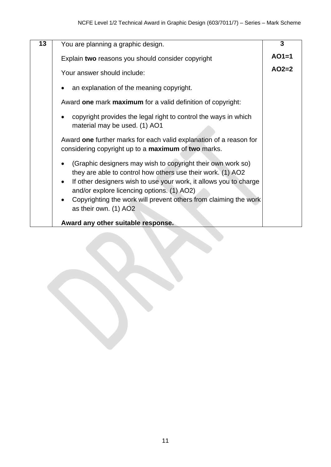| 13 | You are planning a graphic design.                                                                                           | $\overline{3}$ |
|----|------------------------------------------------------------------------------------------------------------------------------|----------------|
|    | Explain two reasons you should consider copyright                                                                            | $AO1=1$        |
|    | Your answer should include:                                                                                                  | $AO2=2$        |
|    | an explanation of the meaning copyright.                                                                                     |                |
|    | Award one mark maximum for a valid definition of copyright:                                                                  |                |
|    | copyright provides the legal right to control the ways in which<br>material may be used. (1) AO1                             |                |
|    | Award one further marks for each valid explanation of a reason for<br>considering copyright up to a maximum of two marks.    |                |
|    | (Graphic designers may wish to copyright their own work so)<br>they are able to control how others use their work. (1) AO2   |                |
|    | If other designers wish to use your work, it allows you to charge<br>$\bullet$<br>and/or explore licencing options. (1) AO2) |                |
|    | Copyrighting the work will prevent others from claiming the work<br>as their own. (1) AO2                                    |                |
|    | Award any other suitable response.                                                                                           |                |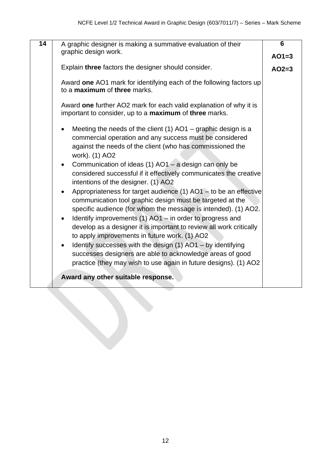| $\overline{14}$ | A graphic designer is making a summative evaluation of their                                                                                                                                                   | $6\phantom{1}6$ |
|-----------------|----------------------------------------------------------------------------------------------------------------------------------------------------------------------------------------------------------------|-----------------|
|                 | graphic design work.                                                                                                                                                                                           | $AO1=3$         |
|                 | Explain three factors the designer should consider.                                                                                                                                                            | $AO2=3$         |
|                 | Award one AO1 mark for identifying each of the following factors up<br>to a maximum of three marks.                                                                                                            |                 |
|                 | Award one further AO2 mark for each valid explanation of why it is<br>important to consider, up to a maximum of three marks.                                                                                   |                 |
|                 | Meeting the needs of the client $(1)$ AO1 – graphic design is a<br>commercial operation and any success must be considered<br>against the needs of the client (who has commissioned the<br>work). (1) AO2      |                 |
|                 | Communication of ideas (1) $AO1 - a$ design can only be<br>$\bullet$<br>considered successful if it effectively communicates the creative<br>intentions of the designer. (1) AO2                               |                 |
|                 | Appropriateness for target audience (1) $AO1 -$ to be an effective<br>$\bullet$<br>communication tool graphic design must be targeted at the<br>specific audience (for whom the message is intended). (1) AO2. |                 |
|                 | Identify improvements (1) AO1 – in order to progress and<br>$\bullet$<br>develop as a designer it is important to review all work critically<br>to apply improvements in future work. (1) AO2                  |                 |
|                 | Identify successes with the design (1) AO1 - by identifying<br>$\bullet$<br>successes designers are able to acknowledge areas of good<br>practice (they may wish to use again in future designs). (1) AO2      |                 |
|                 | Award any other suitable response.                                                                                                                                                                             |                 |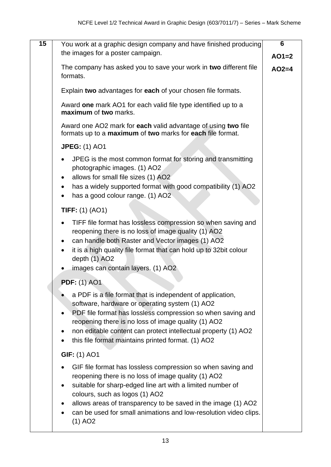|                                                                                                                                                                                                                                                                                                                                                                                               | 6                                                                                                                                                                           |
|-----------------------------------------------------------------------------------------------------------------------------------------------------------------------------------------------------------------------------------------------------------------------------------------------------------------------------------------------------------------------------------------------|-----------------------------------------------------------------------------------------------------------------------------------------------------------------------------|
| the images for a poster campaign.                                                                                                                                                                                                                                                                                                                                                             | $AO1=2$                                                                                                                                                                     |
|                                                                                                                                                                                                                                                                                                                                                                                               |                                                                                                                                                                             |
| formats.                                                                                                                                                                                                                                                                                                                                                                                      | $AO2=4$                                                                                                                                                                     |
| Explain two advantages for each of your chosen file formats.                                                                                                                                                                                                                                                                                                                                  |                                                                                                                                                                             |
| Award one mark AO1 for each valid file type identified up to a<br>maximum of two marks.                                                                                                                                                                                                                                                                                                       |                                                                                                                                                                             |
| Award one AO2 mark for each valid advantage of using two file<br>formats up to a maximum of two marks for each file format.                                                                                                                                                                                                                                                                   |                                                                                                                                                                             |
| <b>JPEG: (1) AO1</b>                                                                                                                                                                                                                                                                                                                                                                          |                                                                                                                                                                             |
| JPEG is the most common format for storing and transmitting<br>$\bullet$<br>photographic images. (1) AO2<br>allows for small file sizes (1) AO2                                                                                                                                                                                                                                               |                                                                                                                                                                             |
| has a widely supported format with good compatibility (1) AO2<br>٠<br>has a good colour range. (1) AO2                                                                                                                                                                                                                                                                                        |                                                                                                                                                                             |
| <b>TIFF:</b> $(1)$ $(AO1)$                                                                                                                                                                                                                                                                                                                                                                    |                                                                                                                                                                             |
| TIFF file format has lossless compression so when saving and<br>reopening there is no loss of image quality (1) AO2<br>can handle both Raster and Vector images (1) AO2<br>it is a high quality file format that can hold up to 32bit colour<br>depth $(1)$ AO2                                                                                                                               |                                                                                                                                                                             |
|                                                                                                                                                                                                                                                                                                                                                                                               |                                                                                                                                                                             |
| <b>PDF: (1) AO1</b>                                                                                                                                                                                                                                                                                                                                                                           |                                                                                                                                                                             |
| a PDF is a file format that is independent of application,<br>software, hardware or operating system (1) AO2<br>PDF file format has lossless compression so when saving and<br>reopening there is no loss of image quality (1) AO2<br>non editable content can protect intellectual property (1) AO2<br>this file format maintains printed format. (1) AO2                                    |                                                                                                                                                                             |
| <b>GIF: (1) AO1</b>                                                                                                                                                                                                                                                                                                                                                                           |                                                                                                                                                                             |
| GIF file format has lossless compression so when saving and<br>reopening there is no loss of image quality (1) AO2<br>suitable for sharp-edged line art with a limited number of<br>$\bullet$<br>colours, such as logos (1) AO2<br>allows areas of transparency to be saved in the image (1) AO2<br>can be used for small animations and low-resolution video clips.<br>$(1)$ AO <sub>2</sub> |                                                                                                                                                                             |
|                                                                                                                                                                                                                                                                                                                                                                                               | You work at a graphic design company and have finished producing<br>The company has asked you to save your work in two different file<br>images can contain layers. (1) AO2 |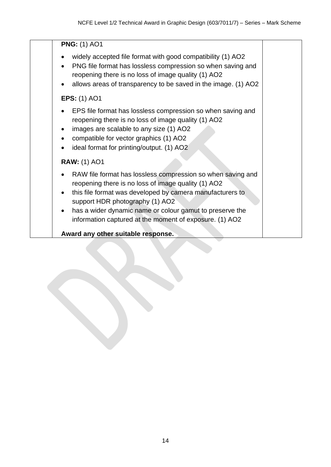#### **PNG:** (1) AO1

- widely accepted file format with good compatibility (1) AO2
- PNG file format has lossless compression so when saving and reopening there is no loss of image quality (1) AO2
- allows areas of transparency to be saved in the image. (1) AO2

### **EPS:** (1) AO1

- EPS file format has lossless compression so when saving and reopening there is no loss of image quality (1) AO2
- images are scalable to any size (1) AO2
- compatible for vector graphics (1) AO2
- ideal format for printing/output. (1) AO2

#### **RAW:** (1) AO1

- RAW file format has lossless compression so when saving and reopening there is no loss of image quality (1) AO2
- this file format was developed by camera manufacturers to support HDR photography (1) AO2
- has a wider dynamic name or colour gamut to preserve the information captured at the moment of exposure. (1) AO2

**Award any other suitable response.**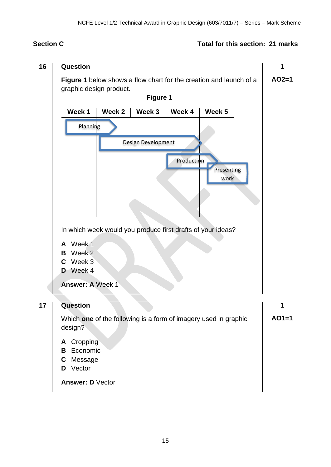#### **Section C Total for this section: 21 marks**

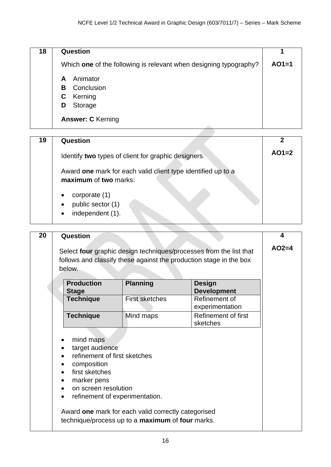| 18 | Question                                                          |         |
|----|-------------------------------------------------------------------|---------|
|    | Which one of the following is relevant when designing typography? | $AO1=1$ |
|    | Animator<br>A                                                     |         |
|    | Conclusion<br>B.                                                  |         |
|    | Kerning<br>C.                                                     |         |
|    | Storage<br>D                                                      |         |
|    | <b>Answer: C</b> Kerning                                          |         |

| 19 | Question                                                                              |         |
|----|---------------------------------------------------------------------------------------|---------|
|    | Identify two types of client for graphic designers.                                   | $AO1=2$ |
|    | Award one mark for each valid client type identified up to a<br>maximum of two marks: |         |
|    | corporate (1)<br>public sector (1)<br>$\bullet$                                       |         |
|    | independent (1).                                                                      |         |

| Question                                                                                                                                                                 |                                                                                                         |                                                                                                                                          |         |
|--------------------------------------------------------------------------------------------------------------------------------------------------------------------------|---------------------------------------------------------------------------------------------------------|------------------------------------------------------------------------------------------------------------------------------------------|---------|
| below.                                                                                                                                                                   |                                                                                                         | Select four graphic design techniques/processes from the list that<br>follows and classify these against the production stage in the box | $AO2=4$ |
| <b>Production</b><br><b>Stage</b>                                                                                                                                        | <b>Planning</b>                                                                                         | <b>Design</b><br><b>Development</b>                                                                                                      |         |
| <b>Technique</b>                                                                                                                                                         | <b>First sketches</b>                                                                                   | Refinement of<br>experimentation                                                                                                         |         |
| <b>Technique</b>                                                                                                                                                         | Mind maps                                                                                               | Refinement of first<br>sketches                                                                                                          |         |
| mind maps<br>target audience<br>$\bullet$<br>refinement of first sketches<br>composition<br>٠<br>first sketches<br>marker pens<br>٠<br>on screen resolution<br>$\bullet$ | refinement of experimentation.                                                                          |                                                                                                                                          |         |
|                                                                                                                                                                          | Award one mark for each valid correctly categorised<br>technique/process up to a maximum of four marks. |                                                                                                                                          |         |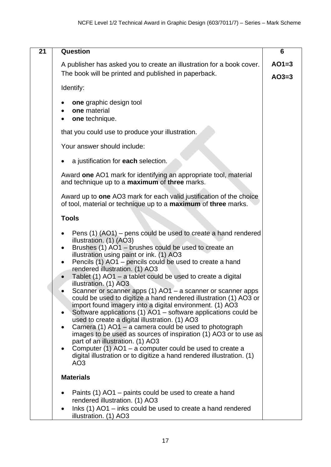| 21 | <b>Question</b>                                                                                                                                                                                                                                                                                                                                                                                                                                                                                                                                                                                                                                                                                                                                                                                                                                                                                                                                                                                                                                                                                              | 6                  |
|----|--------------------------------------------------------------------------------------------------------------------------------------------------------------------------------------------------------------------------------------------------------------------------------------------------------------------------------------------------------------------------------------------------------------------------------------------------------------------------------------------------------------------------------------------------------------------------------------------------------------------------------------------------------------------------------------------------------------------------------------------------------------------------------------------------------------------------------------------------------------------------------------------------------------------------------------------------------------------------------------------------------------------------------------------------------------------------------------------------------------|--------------------|
|    | A publisher has asked you to create an illustration for a book cover.<br>The book will be printed and published in paperback.                                                                                                                                                                                                                                                                                                                                                                                                                                                                                                                                                                                                                                                                                                                                                                                                                                                                                                                                                                                | $AO1=3$<br>$AO3=3$ |
|    | Identify:                                                                                                                                                                                                                                                                                                                                                                                                                                                                                                                                                                                                                                                                                                                                                                                                                                                                                                                                                                                                                                                                                                    |                    |
|    | one graphic design tool<br>one material<br>one technique.<br>$\bullet$                                                                                                                                                                                                                                                                                                                                                                                                                                                                                                                                                                                                                                                                                                                                                                                                                                                                                                                                                                                                                                       |                    |
|    | that you could use to produce your illustration.                                                                                                                                                                                                                                                                                                                                                                                                                                                                                                                                                                                                                                                                                                                                                                                                                                                                                                                                                                                                                                                             |                    |
|    | Your answer should include:                                                                                                                                                                                                                                                                                                                                                                                                                                                                                                                                                                                                                                                                                                                                                                                                                                                                                                                                                                                                                                                                                  |                    |
|    | a justification for each selection.<br>$\bullet$                                                                                                                                                                                                                                                                                                                                                                                                                                                                                                                                                                                                                                                                                                                                                                                                                                                                                                                                                                                                                                                             |                    |
|    | Award one AO1 mark for identifying an appropriate tool, material<br>and technique up to a <b>maximum</b> of three marks.                                                                                                                                                                                                                                                                                                                                                                                                                                                                                                                                                                                                                                                                                                                                                                                                                                                                                                                                                                                     |                    |
|    | Award up to one AO3 mark for each valid justification of the choice<br>of tool, material or technique up to a maximum of three marks.                                                                                                                                                                                                                                                                                                                                                                                                                                                                                                                                                                                                                                                                                                                                                                                                                                                                                                                                                                        |                    |
|    | <b>Tools</b>                                                                                                                                                                                                                                                                                                                                                                                                                                                                                                                                                                                                                                                                                                                                                                                                                                                                                                                                                                                                                                                                                                 |                    |
|    | Pens (1) (AO1) – pens could be used to create a hand rendered<br>illustration. (1) (AO3)<br>Brushes (1) AO1 - brushes could be used to create an<br>$\bullet$<br>illustration using paint or ink. (1) AO3<br>Pencils (1) AO1 – pencils could be used to create a hand<br>$\bullet$<br>rendered illustration. (1) AO3<br>Tablet (1) AO1 - a tablet could be used to create a digital<br>$\bullet$<br>illustration. (1) AO3<br>Scanner or scanner apps (1) AO1 – a scanner or scanner apps<br>could be used to digitize a hand rendered illustration (1) AO3 or<br>import found imagery into a digital environment. (1) AO3<br>Software applications (1) AO1 – software applications could be<br>$\bullet$<br>used to create a digital illustration. (1) AO3<br>Camera (1) AO1 - a camera could be used to photograph<br>$\bullet$<br>images to be used as sources of inspiration (1) AO3 or to use as<br>part of an illustration. (1) AO3<br>Computer (1) AO1 – a computer could be used to create a<br>$\bullet$<br>digital illustration or to digitize a hand rendered illustration. (1)<br>AO <sub>3</sub> |                    |
|    | <b>Materials</b>                                                                                                                                                                                                                                                                                                                                                                                                                                                                                                                                                                                                                                                                                                                                                                                                                                                                                                                                                                                                                                                                                             |                    |
|    | Paints (1) AO1 – paints could be used to create a hand<br>$\bullet$<br>rendered illustration. (1) AO3<br>Inks (1) AO1 - inks could be used to create a hand rendered<br>$\bullet$<br>illustration. (1) AO3                                                                                                                                                                                                                                                                                                                                                                                                                                                                                                                                                                                                                                                                                                                                                                                                                                                                                                   |                    |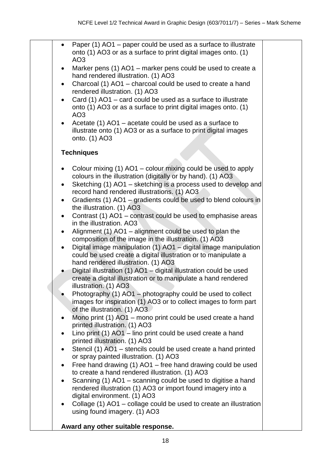| Paper (1) AO1 – paper could be used as a surface to illustrate<br>$\bullet$<br>onto (1) AO3 or as a surface to print digital images onto. (1)<br>AO <sub>3</sub>                        |  |
|-----------------------------------------------------------------------------------------------------------------------------------------------------------------------------------------|--|
| Marker pens (1) AO1 - marker pens could be used to create a<br>$\bullet$<br>hand rendered illustration. (1) AO3                                                                         |  |
| Charcoal (1) AO1 - charcoal could be used to create a hand<br>$\bullet$<br>rendered illustration. (1) AO3                                                                               |  |
| Card (1) AO1 – card could be used as a surface to illustrate<br>$\bullet$<br>onto (1) AO3 or as a surface to print digital images onto. (1)<br>AO <sub>3</sub>                          |  |
| Acetate (1) AO1 – acetate could be used as a surface to<br>$\bullet$<br>illustrate onto (1) AO3 or as a surface to print digital images<br>onto. (1) AO3                                |  |
| <b>Techniques</b>                                                                                                                                                                       |  |
| Colour mixing (1) AO1 - colour mixing could be used to apply<br>٠<br>colours in the illustration (digitally or by hand). (1) AO3                                                        |  |
| Sketching (1) AO1 - sketching is a process used to develop and<br>$\bullet$<br>record hand rendered illustrations. (1) AO3                                                              |  |
| Gradients (1) AO1 – gradients could be used to blend colours in<br>$\bullet$<br>the illustration. (1) AO3                                                                               |  |
| Contrast (1) AO1 - contrast could be used to emphasise areas<br>$\bullet$<br>in the illustration. AO3                                                                                   |  |
| Alignment (1) AO1 – alignment could be used to plan the<br>$\bullet$<br>composition of the image in the illustration. (1) AO3                                                           |  |
| Digital image manipulation (1) $AO1 -$ digital image manipulation<br>$\bullet$<br>could be used create a digital illustration or to manipulate a<br>hand rendered illustration. (1) AO3 |  |
| Digital illustration (1) AO1 - digital illustration could be used<br>create a digital illustration or to manipulate a hand rendered<br>illustration. (1) AO3                            |  |
| Photography (1) AO1 - photography could be used to collect<br>images for inspiration (1) AO3 or to collect images to form part<br>of the illustration. (1) AO3                          |  |
| Mono print (1) AO1 - mono print could be used create a hand<br>$\bullet$<br>printed illustration. (1) AO3                                                                               |  |
| Lino print (1) AO1 - lino print could be used create a hand<br>٠<br>printed illustration. (1) AO3                                                                                       |  |
| Stencil (1) AO1 - stencils could be used create a hand printed<br>or spray painted illustration. (1) AO3                                                                                |  |
| Free hand drawing (1) AO1 - free hand drawing could be used<br>$\bullet$<br>to create a hand rendered illustration. (1) AO3                                                             |  |
| Scanning (1) AO1 – scanning could be used to digitise a hand<br>$\bullet$<br>rendered illustration (1) AO3 or import found imagery into a<br>digital environment. (1) AO3               |  |
| Collage (1) AO1 - collage could be used to create an illustration<br>$\bullet$<br>using found imagery. (1) AO3                                                                          |  |
| Award any other suitable response.                                                                                                                                                      |  |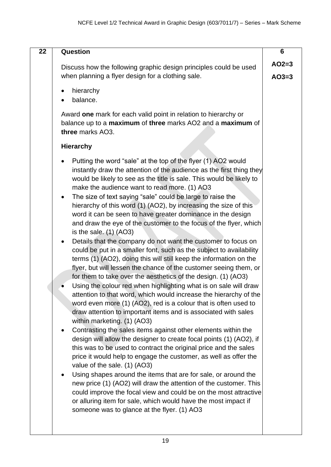| 22 | <b>Question</b>                                                                                                                                                                                                                                                                                                                                                                                                                                                                                                                                                                                                                                                                                                                                                                                                                                                                                                                                                                                                                                                                                                                                                                                                                                                                                                                                                                                                                                                                                                                                                                                                                                                                                                                                                                                                                                                                                                       | 6       |
|----|-----------------------------------------------------------------------------------------------------------------------------------------------------------------------------------------------------------------------------------------------------------------------------------------------------------------------------------------------------------------------------------------------------------------------------------------------------------------------------------------------------------------------------------------------------------------------------------------------------------------------------------------------------------------------------------------------------------------------------------------------------------------------------------------------------------------------------------------------------------------------------------------------------------------------------------------------------------------------------------------------------------------------------------------------------------------------------------------------------------------------------------------------------------------------------------------------------------------------------------------------------------------------------------------------------------------------------------------------------------------------------------------------------------------------------------------------------------------------------------------------------------------------------------------------------------------------------------------------------------------------------------------------------------------------------------------------------------------------------------------------------------------------------------------------------------------------------------------------------------------------------------------------------------------------|---------|
|    | Discuss how the following graphic design principles could be used                                                                                                                                                                                                                                                                                                                                                                                                                                                                                                                                                                                                                                                                                                                                                                                                                                                                                                                                                                                                                                                                                                                                                                                                                                                                                                                                                                                                                                                                                                                                                                                                                                                                                                                                                                                                                                                     | $AO2=3$ |
|    | when planning a flyer design for a clothing sale.                                                                                                                                                                                                                                                                                                                                                                                                                                                                                                                                                                                                                                                                                                                                                                                                                                                                                                                                                                                                                                                                                                                                                                                                                                                                                                                                                                                                                                                                                                                                                                                                                                                                                                                                                                                                                                                                     | $AO3=3$ |
|    | hierarchy                                                                                                                                                                                                                                                                                                                                                                                                                                                                                                                                                                                                                                                                                                                                                                                                                                                                                                                                                                                                                                                                                                                                                                                                                                                                                                                                                                                                                                                                                                                                                                                                                                                                                                                                                                                                                                                                                                             |         |
|    | balance.                                                                                                                                                                                                                                                                                                                                                                                                                                                                                                                                                                                                                                                                                                                                                                                                                                                                                                                                                                                                                                                                                                                                                                                                                                                                                                                                                                                                                                                                                                                                                                                                                                                                                                                                                                                                                                                                                                              |         |
|    | Award one mark for each valid point in relation to hierarchy or<br>balance up to a maximum of three marks AO2 and a maximum of<br>three marks AO3.                                                                                                                                                                                                                                                                                                                                                                                                                                                                                                                                                                                                                                                                                                                                                                                                                                                                                                                                                                                                                                                                                                                                                                                                                                                                                                                                                                                                                                                                                                                                                                                                                                                                                                                                                                    |         |
|    | <b>Hierarchy</b>                                                                                                                                                                                                                                                                                                                                                                                                                                                                                                                                                                                                                                                                                                                                                                                                                                                                                                                                                                                                                                                                                                                                                                                                                                                                                                                                                                                                                                                                                                                                                                                                                                                                                                                                                                                                                                                                                                      |         |
|    | Putting the word "sale" at the top of the flyer (1) AO2 would<br>instantly draw the attention of the audience as the first thing they<br>would be likely to see as the title is sale. This would be likely to<br>make the audience want to read more. (1) AO3<br>The size of text saying "sale" could be large to raise the<br>$\bullet$<br>hierarchy of this word (1) (AO2), by increasing the size of this<br>word it can be seen to have greater dominance in the design<br>and draw the eye of the customer to the focus of the flyer, which<br>is the sale. $(1)$ $(AO3)$<br>Details that the company do not want the customer to focus on<br>$\bullet$<br>could be put in a smaller font, such as the subject to availability<br>terms (1) (AO2), doing this will still keep the information on the<br>flyer, but will lessen the chance of the customer seeing them, or<br>for them to take over the aesthetics of the design. (1) (AO3)<br>Using the colour red when highlighting what is on sale will draw<br>attention to that word, which would increase the hierarchy of the<br>word even more (1) (AO2), red is a colour that is often used to<br>draw attention to important items and is associated with sales<br>within marketing. (1) (AO3)<br>Contrasting the sales items against other elements within the<br>$\bullet$<br>design will allow the designer to create focal points (1) (AO2), if<br>this was to be used to contract the original price and the sales<br>price it would help to engage the customer, as well as offer the<br>value of the sale. (1) (AO3)<br>Using shapes around the items that are for sale, or around the<br>new price (1) (AO2) will draw the attention of the customer. This<br>could improve the focal view and could be on the most attractive<br>or alluring item for sale, which would have the most impact if<br>someone was to glance at the flyer. (1) AO3 |         |
|    |                                                                                                                                                                                                                                                                                                                                                                                                                                                                                                                                                                                                                                                                                                                                                                                                                                                                                                                                                                                                                                                                                                                                                                                                                                                                                                                                                                                                                                                                                                                                                                                                                                                                                                                                                                                                                                                                                                                       |         |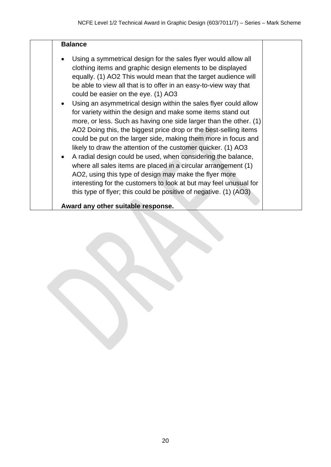| <b>Balance</b>                                                                                                                                                                                                                                                                                                                                                                                                                                                                                                                                                                                                                                                                                                                                                                                                                                                                                                                                                                                                                                                |
|---------------------------------------------------------------------------------------------------------------------------------------------------------------------------------------------------------------------------------------------------------------------------------------------------------------------------------------------------------------------------------------------------------------------------------------------------------------------------------------------------------------------------------------------------------------------------------------------------------------------------------------------------------------------------------------------------------------------------------------------------------------------------------------------------------------------------------------------------------------------------------------------------------------------------------------------------------------------------------------------------------------------------------------------------------------|
| Using a symmetrical design for the sales flyer would allow all<br>clothing items and graphic design elements to be displayed<br>equally. (1) AO2 This would mean that the target audience will<br>be able to view all that is to offer in an easy-to-view way that<br>could be easier on the eye. (1) AO3<br>Using an asymmetrical design within the sales flyer could allow<br>for variety within the design and make some items stand out<br>more, or less. Such as having one side larger than the other. (1)<br>AO2 Doing this, the biggest price drop or the best-selling items<br>could be put on the larger side, making them more in focus and<br>likely to draw the attention of the customer quicker. (1) AO3<br>A radial design could be used, when considering the balance,<br>where all sales items are placed in a circular arrangement (1)<br>AO2, using this type of design may make the flyer more<br>interesting for the customers to look at but may feel unusual for<br>this type of flyer; this could be positive of negative. (1) (AO3) |
| Award any other suitable response.                                                                                                                                                                                                                                                                                                                                                                                                                                                                                                                                                                                                                                                                                                                                                                                                                                                                                                                                                                                                                            |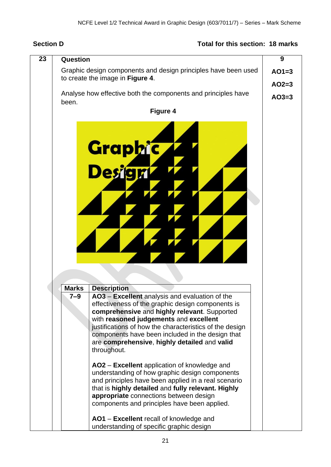## **Section D Total for this section: 18 marks**

| 23 | Question                                                                                                                                                                                                                                                                                                                                                                           | 9                  |
|----|------------------------------------------------------------------------------------------------------------------------------------------------------------------------------------------------------------------------------------------------------------------------------------------------------------------------------------------------------------------------------------|--------------------|
|    | Graphic design components and design principles have been used<br>to create the image in Figure 4.                                                                                                                                                                                                                                                                                 | $AO1=3$            |
|    | Analyse how effective both the components and principles have<br>been.                                                                                                                                                                                                                                                                                                             | $AO2=3$<br>$AO3=3$ |
|    | <b>Figure 4</b>                                                                                                                                                                                                                                                                                                                                                                    |                    |
|    | <b>Graphic</b><br>Design                                                                                                                                                                                                                                                                                                                                                           |                    |
|    | <b>Marks</b><br><b>Description</b>                                                                                                                                                                                                                                                                                                                                                 |                    |
|    | AO3 – Excellent analysis and evaluation of the<br>7–9<br>effectiveness of the graphic design components is<br>comprehensive and highly relevant. Supported<br>with reasoned judgements and excellent<br>justifications of how the characteristics of the design<br>components have been included in the design that<br>are comprehensive, highly detailed and valid<br>throughout. |                    |
|    | AO2 - Excellent application of knowledge and<br>understanding of how graphic design components<br>and principles have been applied in a real scenario<br>that is highly detailed and fully relevant. Highly<br>appropriate connections between design<br>components and principles have been applied.                                                                              |                    |
|    | AO1 – Excellent recall of knowledge and<br>understanding of specific graphic design                                                                                                                                                                                                                                                                                                |                    |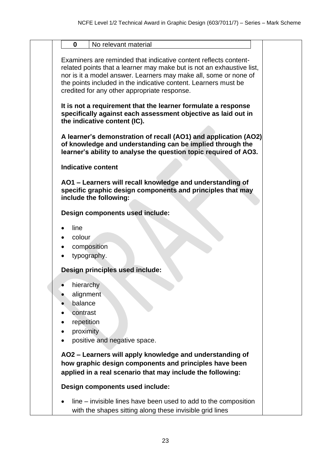| No relevant material<br>$\bf{0}$                                                                                                                                                                                                                                                                                                 |  |
|----------------------------------------------------------------------------------------------------------------------------------------------------------------------------------------------------------------------------------------------------------------------------------------------------------------------------------|--|
|                                                                                                                                                                                                                                                                                                                                  |  |
| Examiners are reminded that indicative content reflects content-<br>related points that a learner may make but is not an exhaustive list,<br>nor is it a model answer. Learners may make all, some or none of<br>the points included in the indicative content. Learners must be<br>credited for any other appropriate response. |  |
| It is not a requirement that the learner formulate a response<br>specifically against each assessment objective as laid out in<br>the indicative content (IC).                                                                                                                                                                   |  |
| A learner's demonstration of recall (AO1) and application (AO2)<br>of knowledge and understanding can be implied through the<br>learner's ability to analyse the question topic required of AO3.                                                                                                                                 |  |
| <b>Indicative content</b>                                                                                                                                                                                                                                                                                                        |  |
| AO1 - Learners will recall knowledge and understanding of<br>specific graphic design components and principles that may<br>include the following:                                                                                                                                                                                |  |
| Design components used include:                                                                                                                                                                                                                                                                                                  |  |
| line<br>colour<br>composition<br>typography.                                                                                                                                                                                                                                                                                     |  |
| Design principles used include:                                                                                                                                                                                                                                                                                                  |  |
| hierarchy<br>alignment<br>balance<br>contrast<br>repetition<br>٠<br>proximity<br>positive and negative space.                                                                                                                                                                                                                    |  |
| AO2 - Learners will apply knowledge and understanding of<br>how graphic design components and principles have been<br>applied in a real scenario that may include the following:                                                                                                                                                 |  |
| Design components used include:                                                                                                                                                                                                                                                                                                  |  |
| line – invisible lines have been used to add to the composition<br>with the shapes sitting along these invisible grid lines                                                                                                                                                                                                      |  |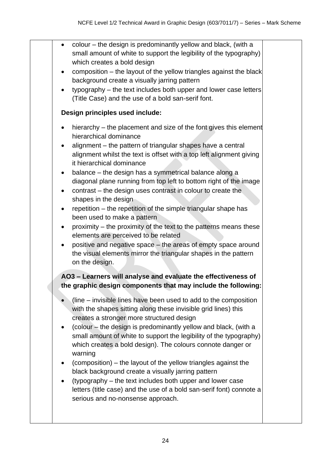| colour – the design is predominantly yellow and black, (with a<br>$\bullet$<br>small amount of white to support the legibility of the typography)<br>which creates a bold design<br>composition – the layout of the yellow triangles against the black<br>background create a visually jarring pattern<br>typography - the text includes both upper and lower case letters<br>$\bullet$<br>(Title Case) and the use of a bold san-serif font.<br>Design principles used include:<br>hierarchy – the placement and size of the font gives this element<br>$\bullet$<br>hierarchical dominance<br>alignment – the pattern of triangular shapes have a central<br>alignment whilst the text is offset with a top left alignment giving<br>it hierarchical dominance<br>balance - the design has a symmetrical balance along a<br>$\bullet$<br>diagonal plane running from top left to bottom right of the image<br>contrast – the design uses contrast in colour to create the<br>shapes in the design<br>repetition – the repetition of the simple triangular shape has<br>$\bullet$<br>been used to make a pattern<br>proximity - the proximity of the text to the patterns means these<br>$\bullet$<br>elements are perceived to be related<br>positive and negative space - the areas of empty space around<br>the visual elements mirror the triangular shapes in the pattern<br>on the design.<br>AO3 - Learners will analyse and evaluate the effectiveness of<br>the graphic design components that may include the following:<br>(line – invisible lines have been used to add to the composition<br>with the shapes sitting along these invisible grid lines) this<br>creates a stronger more structured design<br>(colour – the design is predominantly yellow and black, (with a<br>small amount of white to support the legibility of the typography)<br>which creates a bold design). The colours connote danger or<br>warning<br>(composition) – the layout of the yellow triangles against the<br>black background create a visually jarring pattern<br>(typography – the text includes both upper and lower case<br>letters (title case) and the use of a bold san-serif font) connote a<br>serious and no-nonsense approach. |  |  |
|---------------------------------------------------------------------------------------------------------------------------------------------------------------------------------------------------------------------------------------------------------------------------------------------------------------------------------------------------------------------------------------------------------------------------------------------------------------------------------------------------------------------------------------------------------------------------------------------------------------------------------------------------------------------------------------------------------------------------------------------------------------------------------------------------------------------------------------------------------------------------------------------------------------------------------------------------------------------------------------------------------------------------------------------------------------------------------------------------------------------------------------------------------------------------------------------------------------------------------------------------------------------------------------------------------------------------------------------------------------------------------------------------------------------------------------------------------------------------------------------------------------------------------------------------------------------------------------------------------------------------------------------------------------------------------------------------------------------------------------------------------------------------------------------------------------------------------------------------------------------------------------------------------------------------------------------------------------------------------------------------------------------------------------------------------------------------------------------------------------------------------------------------------------------------------------------------------------------------------------------|--|--|
|                                                                                                                                                                                                                                                                                                                                                                                                                                                                                                                                                                                                                                                                                                                                                                                                                                                                                                                                                                                                                                                                                                                                                                                                                                                                                                                                                                                                                                                                                                                                                                                                                                                                                                                                                                                                                                                                                                                                                                                                                                                                                                                                                                                                                                             |  |  |
|                                                                                                                                                                                                                                                                                                                                                                                                                                                                                                                                                                                                                                                                                                                                                                                                                                                                                                                                                                                                                                                                                                                                                                                                                                                                                                                                                                                                                                                                                                                                                                                                                                                                                                                                                                                                                                                                                                                                                                                                                                                                                                                                                                                                                                             |  |  |
|                                                                                                                                                                                                                                                                                                                                                                                                                                                                                                                                                                                                                                                                                                                                                                                                                                                                                                                                                                                                                                                                                                                                                                                                                                                                                                                                                                                                                                                                                                                                                                                                                                                                                                                                                                                                                                                                                                                                                                                                                                                                                                                                                                                                                                             |  |  |
|                                                                                                                                                                                                                                                                                                                                                                                                                                                                                                                                                                                                                                                                                                                                                                                                                                                                                                                                                                                                                                                                                                                                                                                                                                                                                                                                                                                                                                                                                                                                                                                                                                                                                                                                                                                                                                                                                                                                                                                                                                                                                                                                                                                                                                             |  |  |
|                                                                                                                                                                                                                                                                                                                                                                                                                                                                                                                                                                                                                                                                                                                                                                                                                                                                                                                                                                                                                                                                                                                                                                                                                                                                                                                                                                                                                                                                                                                                                                                                                                                                                                                                                                                                                                                                                                                                                                                                                                                                                                                                                                                                                                             |  |  |
|                                                                                                                                                                                                                                                                                                                                                                                                                                                                                                                                                                                                                                                                                                                                                                                                                                                                                                                                                                                                                                                                                                                                                                                                                                                                                                                                                                                                                                                                                                                                                                                                                                                                                                                                                                                                                                                                                                                                                                                                                                                                                                                                                                                                                                             |  |  |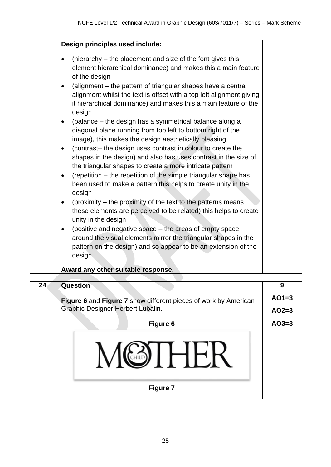| $\bullet$<br>$\bullet$<br>$\bullet$<br>$\bullet$<br>$\bullet$<br>$\bullet$ | Design principles used include:<br>(hierarchy – the placement and size of the font gives this<br>element hierarchical dominance) and makes this a main feature<br>of the design<br>(alignment – the pattern of triangular shapes have a central<br>alignment whilst the text is offset with a top left alignment giving<br>it hierarchical dominance) and makes this a main feature of the<br>design<br>(balance – the design has a symmetrical balance along a<br>diagonal plane running from top left to bottom right of the<br>image), this makes the design aesthetically pleasing<br>(contrast- the design uses contrast in colour to create the<br>shapes in the design) and also has uses contrast in the size of<br>the triangular shapes to create a more intricate pattern<br>(repetition – the repetition of the simple triangular shape has<br>been used to make a pattern this helps to create unity in the<br>design<br>(proximity – the proximity of the text to the patterns means |  |  |  |  |
|----------------------------------------------------------------------------|----------------------------------------------------------------------------------------------------------------------------------------------------------------------------------------------------------------------------------------------------------------------------------------------------------------------------------------------------------------------------------------------------------------------------------------------------------------------------------------------------------------------------------------------------------------------------------------------------------------------------------------------------------------------------------------------------------------------------------------------------------------------------------------------------------------------------------------------------------------------------------------------------------------------------------------------------------------------------------------------------|--|--|--|--|
|                                                                            | these elements are perceived to be related) this helps to create<br>unity in the design                                                                                                                                                                                                                                                                                                                                                                                                                                                                                                                                                                                                                                                                                                                                                                                                                                                                                                            |  |  |  |  |
| $\bullet$                                                                  | (positive and negative space – the areas of empty space<br>around the visual elements mirror the triangular shapes in the<br>pattern on the design) and so appear to be an extension of the<br>design.                                                                                                                                                                                                                                                                                                                                                                                                                                                                                                                                                                                                                                                                                                                                                                                             |  |  |  |  |
| Award any other suitable response.                                         |                                                                                                                                                                                                                                                                                                                                                                                                                                                                                                                                                                                                                                                                                                                                                                                                                                                                                                                                                                                                    |  |  |  |  |
|                                                                            |                                                                                                                                                                                                                                                                                                                                                                                                                                                                                                                                                                                                                                                                                                                                                                                                                                                                                                                                                                                                    |  |  |  |  |

| 24 | Question                                                        | 9 |  |
|----|-----------------------------------------------------------------|---|--|
|    | Figure 6 and Figure 7 show different pieces of work by American |   |  |
|    | Graphic Designer Herbert Lubalin.                               |   |  |
|    | <b>Figure 6</b>                                                 |   |  |
|    |                                                                 |   |  |
|    | <b>Figure 7</b>                                                 |   |  |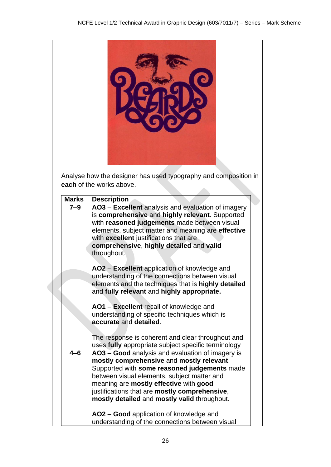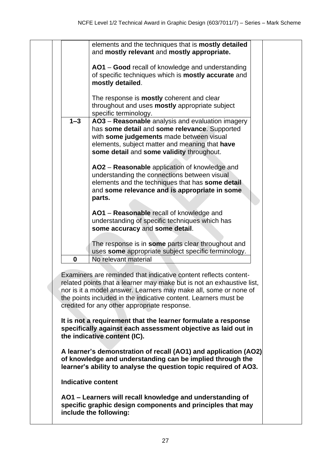|                                                                                                                                                   | elements and the techniques that is mostly detailed<br>and mostly relevant and mostly appropriate.                                                                                                                                           |                                                                                                                                                                                                                                                                                                                                                                                                                                                                                                                                                                                                                                                                                                                                 |  |  |  |  |
|---------------------------------------------------------------------------------------------------------------------------------------------------|----------------------------------------------------------------------------------------------------------------------------------------------------------------------------------------------------------------------------------------------|---------------------------------------------------------------------------------------------------------------------------------------------------------------------------------------------------------------------------------------------------------------------------------------------------------------------------------------------------------------------------------------------------------------------------------------------------------------------------------------------------------------------------------------------------------------------------------------------------------------------------------------------------------------------------------------------------------------------------------|--|--|--|--|
|                                                                                                                                                   | AO1 - Good recall of knowledge and understanding<br>of specific techniques which is <b>mostly accurate</b> and<br>mostly detailed.                                                                                                           |                                                                                                                                                                                                                                                                                                                                                                                                                                                                                                                                                                                                                                                                                                                                 |  |  |  |  |
|                                                                                                                                                   | The response is <b>mostly</b> coherent and clear<br>throughout and uses <b>mostly</b> appropriate subject                                                                                                                                    |                                                                                                                                                                                                                                                                                                                                                                                                                                                                                                                                                                                                                                                                                                                                 |  |  |  |  |
| $1 - 3$                                                                                                                                           | AO3 - Reasonable analysis and evaluation imagery<br>has some detail and some relevance. Supported<br>with some judgements made between visual<br>elements, subject matter and meaning that have<br>some detail and some validity throughout. |                                                                                                                                                                                                                                                                                                                                                                                                                                                                                                                                                                                                                                                                                                                                 |  |  |  |  |
|                                                                                                                                                   | AO2 - Reasonable application of knowledge and<br>understanding the connections between visual<br>elements and the techniques that has some detail<br>and some relevance and is appropriate in some<br>parts.                                 |                                                                                                                                                                                                                                                                                                                                                                                                                                                                                                                                                                                                                                                                                                                                 |  |  |  |  |
|                                                                                                                                                   | AO1 - Reasonable recall of knowledge and<br>understanding of specific techniques which has<br>some accuracy and some detail.                                                                                                                 |                                                                                                                                                                                                                                                                                                                                                                                                                                                                                                                                                                                                                                                                                                                                 |  |  |  |  |
| $\bf{0}$                                                                                                                                          | The response is in some parts clear throughout and<br>uses some appropriate subject specific terminology.<br>No relevant material                                                                                                            |                                                                                                                                                                                                                                                                                                                                                                                                                                                                                                                                                                                                                                                                                                                                 |  |  |  |  |
|                                                                                                                                                   |                                                                                                                                                                                                                                              |                                                                                                                                                                                                                                                                                                                                                                                                                                                                                                                                                                                                                                                                                                                                 |  |  |  |  |
|                                                                                                                                                   |                                                                                                                                                                                                                                              |                                                                                                                                                                                                                                                                                                                                                                                                                                                                                                                                                                                                                                                                                                                                 |  |  |  |  |
|                                                                                                                                                   |                                                                                                                                                                                                                                              |                                                                                                                                                                                                                                                                                                                                                                                                                                                                                                                                                                                                                                                                                                                                 |  |  |  |  |
| <b>Indicative content</b>                                                                                                                         |                                                                                                                                                                                                                                              |                                                                                                                                                                                                                                                                                                                                                                                                                                                                                                                                                                                                                                                                                                                                 |  |  |  |  |
| AO1 – Learners will recall knowledge and understanding of<br>specific graphic design components and principles that may<br>include the following: |                                                                                                                                                                                                                                              |                                                                                                                                                                                                                                                                                                                                                                                                                                                                                                                                                                                                                                                                                                                                 |  |  |  |  |
|                                                                                                                                                   |                                                                                                                                                                                                                                              | specific terminology.<br>Examiners are reminded that indicative content reflects content-<br>related points that a learner may make but is not an exhaustive list,<br>nor is it a model answer. Learners may make all, some or none of<br>the points included in the indicative content. Learners must be<br>credited for any other appropriate response.<br>It is not a requirement that the learner formulate a response<br>specifically against each assessment objective as laid out in<br>the indicative content (IC).<br>A learner's demonstration of recall (AO1) and application (AO2)<br>of knowledge and understanding can be implied through the<br>learner's ability to analyse the question topic required of AO3. |  |  |  |  |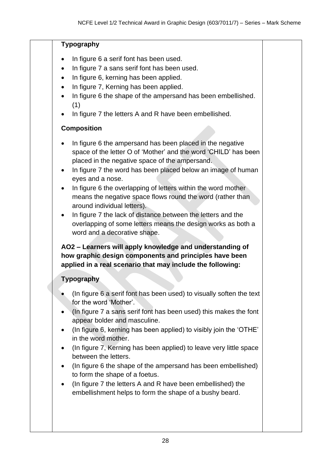#### **Typography**

- In figure 6 a serif font has been used.
- In figure 7 a sans serif font has been used.
- In figure 6, kerning has been applied.
- In figure 7, Kerning has been applied.
- In figure 6 the shape of the ampersand has been embellished. (1)
- In figure 7 the letters A and R have been embellished.

### **Composition**

- In figure 6 the ampersand has been placed in the negative space of the letter O of 'Mother' and the word 'CHILD' has been placed in the negative space of the ampersand.
- In figure 7 the word has been placed below an image of human eyes and a nose.
- In figure 6 the overlapping of letters within the word mother means the negative space flows round the word (rather than around individual letters).
- In figure 7 the lack of distance between the letters and the overlapping of some letters means the design works as both a word and a decorative shape.

**AO2 – Learners will apply knowledge and understanding of how graphic design components and principles have been applied in a real scenario that may include the following:**

### **Typography**

- (In figure 6 a serif font has been used) to visually soften the text for the word 'Mother'.
- (In figure 7 a sans serif font has been used) this makes the font appear bolder and masculine.
- (In figure 6, kerning has been applied) to visibly join the 'OTHE' in the word mother.
- (In figure 7, Kerning has been applied) to leave very little space between the letters.
- (In figure 6 the shape of the ampersand has been embellished) to form the shape of a foetus.
- (In figure 7 the letters A and R have been embellished) the embellishment helps to form the shape of a bushy beard.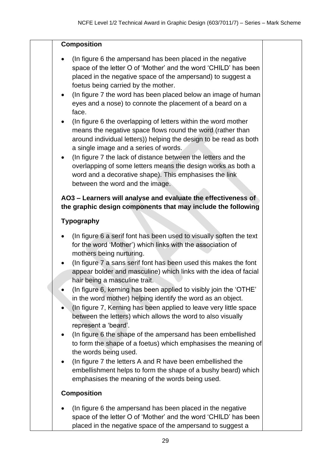#### **Composition**

- (In figure 6 the ampersand has been placed in the negative space of the letter O of 'Mother' and the word 'CHILD' has been placed in the negative space of the ampersand) to suggest a foetus being carried by the mother.
- (In figure 7 the word has been placed below an image of human eyes and a nose) to connote the placement of a beard on a face.
- (In figure 6 the overlapping of letters within the word mother means the negative space flows round the word (rather than around individual letters)) helping the design to be read as both a single image and a series of words.
- (In figure 7 the lack of distance between the letters and the overlapping of some letters means the design works as both a word and a decorative shape). This emphasises the link between the word and the image.

### **AO3 – Learners will analyse and evaluate the effectiveness of the graphic design components that may include the following**

### **Typography**

- (In figure 6 a serif font has been used to visually soften the text for the word 'Mother') which links with the association of mothers being nurturing.
- (In figure 7 a sans serif font has been used this makes the font appear bolder and masculine) which links with the idea of facial hair being a masculine trait.
- (In figure 6, kerning has been applied to visibly join the 'OTHE' in the word mother) helping identify the word as an object.
- (In figure 7, Kerning has been applied to leave very little space between the letters) which allows the word to also visually represent a 'beard'.
- (In figure 6 the shape of the ampersand has been embellished to form the shape of a foetus) which emphasises the meaning of the words being used.
- (In figure 7 the letters A and R have been embellished the embellishment helps to form the shape of a bushy beard) which emphasises the meaning of the words being used.

### **Composition**

• (In figure 6 the ampersand has been placed in the negative space of the letter O of 'Mother' and the word 'CHILD' has been placed in the negative space of the ampersand to suggest a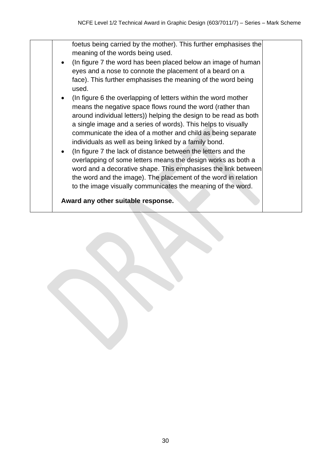foetus being carried by the mother). This further emphasises the meaning of the words being used. • (In figure 7 the word has been placed below an image of human eyes and a nose to connote the placement of a beard on a face). This further emphasises the meaning of the word being used. • (In figure 6 the overlapping of letters within the word mother means the negative space flows round the word (rather than around individual letters)) helping the design to be read as both a single image and a series of words). This helps to visually communicate the idea of a mother and child as being separate individuals as well as being linked by a family bond. • (In figure 7 the lack of distance between the letters and the overlapping of some letters means the design works as both a word and a decorative shape. This emphasises the link between the word and the image). The placement of the word in relation to the image visually communicates the meaning of the word. **Award any other suitable response.**